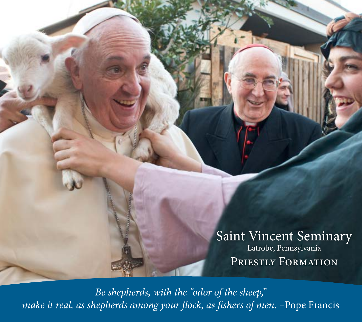Saint Vincent Seminary Latrobe, Pennsylvania PRIESTLY FORMATION

*Be shepherds, with the "odor of the sheep,"*  make it real, as shepherds among your flock, as fishers of men. -Pope Francis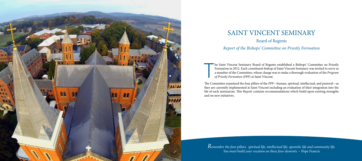

# SAINT VINCENT SEMINARY

### Board of Regents

*Report of the Bishops' Committee on Priestly Formation*

T he Saint Vincent Seminary Board of Regents established a Bishops' Committee on Priestly Formation in 2012. Each constituent bishop of Saint Vincent Seminary was invited to serve as a member of the Committee, whose charge was to make a thorough evaluation of the *Program of Priestly Formation* (*PPF*) at Saint Vincent.

*Remember the four pillars: spiritual life, intellectual life, apostolic life and community life.*  You must build your vocation on these four elements. - Pope Francis

The Committee examined the four pillars of the *PPF*—human, spiritual, intellectual, and pastoral—as they are currently implemented at Saint Vincent including an evaluation of their integration into the life of each seminarian. This Report contains recommendations which build upon existing strengths and on new initiatives.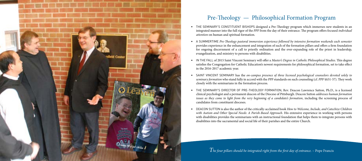## Pre-Theology — Philosophical Formation Program

• THE SEMINARY'S CONSTITUENT BISHOPS designed a Pre-Theology program which immerses new students in an integrated manner into the full rigor of the *PPF* from the day of their entrance. The program offers focused *individual* 

A SUMMERTIME *Pre-Theology pastoral immersion experience followed by intensive formation weekends each semester* provides experience in the enhancement and integration of each of the formation pillars and offers a firm foundation for ongoing discernment of a call to priestly ordination and the ever-expanding role of the priest in leadership,

SAINT VINCENT SEMINARY has the *on-campus presence of three licensed psychological counselors devoted solely to seminary formation* who stand fully in accord with the *PPF* standards on such counseling (cf. *PPF* §§51-57). They work

THE SEMINARY'S DIRECTOR OF PRE-THEOLOGY FORMATION, Rev. Deacon Lawrence Sutton, Ph.D., is a licensed clinical psychologist and a permanent deacon of the Diocese of Pittsburgh. Deacon Sutton *addresses human formation issues as they come to light from the very beginning of a candidate's formation*, including the screening process of

• In the fall of 2015 Saint Vincent Seminary will offer a *Master's Degree in Catholic Philosophical Studies.* This degree satisfies the Congregation for Catholic Education's newest requirements for philosophical formation, set to take effect



- *attention* on human and spiritual formation.
- evangelization, and ministry to persons with disabilities.
- in the 2016-2017 academic year.
- closely with the seminarians in the formation process.
- candidates from constituent dioceses.
- 

*T* he four pillars should be integrated right from the first day of entrance. – Pope Francis

DEACON SUTTON is also the author of the critically-acclaimed book *How to Welcome, Include, and Catechize Children with Autism and Other Special Needs: A Parish-Based Approach*. His extensive experience in working with persons with disabilities provides the seminarians with an instructional foundation that helps them to integrate persons with disabilities into the sacramental and social life of their parishes and the entire Church.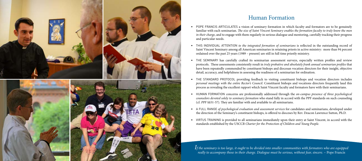*If the seminary is too large, it ought to be divided into smaller communities with formators who are equipped really to accompany those in their charge. Dialogue must be serious, without fear, sincere.* – Pope Francis

## Human Formation

POPE FRANCIS ARTICULATES a vision of seminary formation in which faculty and formators are to be genuinely familiar with each seminarian. *The size of Saint Vincent Seminary enables the formation faculty to truly know the men in their charge*, and to engage with them regularly in serious dialogue and mentoring, carefully tracking their progress

THIS INDIVIDUAL ATTENTION *to the integrated formation of seminarians* is reflected in the outstanding record of Saint Vincent Seminary among all American seminaries in retaining priests in active ministry: more than 94 percent ordained over the past 25 years (1989 – present) are still in full time priestly ministry.

• THE SEMINARY has carefully crafted its seminarian assessment surveys, especially written profiles and review protocols. These assessments consistently result in *truly probative and absolutely frank annual seminarian profiles* that have been repeatedly commended by constituent bishops and diocesan vocation directors for their insight, objective detail, accuracy, and helpfulness in assessing the readiness of a seminarian for ordination.

THE STANDARD PROTOCOL providing feedback to visiting constituent bishops and vocation directors includes *personal meetings with the entire Rector's Council*. Constituent bishops and vocations directors frequently laud this process as revealing the excellent rapport which Saint Vincent faculty and formators have with their seminarians.

HUMAN FORMATION concerns are professionally addressed through the *on-campus presence of three psychological counselors devoted solely to seminary formation* who stand fully in accord with the PPF standards on such counseling

A FULL RANGE of psychological evaluation and assessment services for candidates and seminarians, developed under the direction of the Seminary's constituent bishops, is offered to dioceses by Rev. Deacon Lawrence Sutton, Ph.D.

VIRTUS TRAINING is provided to all seminarians immediately upon their entry at Saint Vincent, in accord with the standards established by the USCCB *Charter for the Protection of Children and Young People.*



- and particular needs.
- 
- 
- 
- (cf. *PPF* §§51-57). They are familiar with and available to all seminarians.
- 
-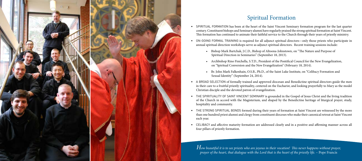## Spiritual Formation

SPIRITUAL FORMATION has been at the heart of the Saint Vincent Seminary formation program for the last quarter century. Constituent bishops and Seminary alumni have regularly praised the strong spiritual formation at Saint Vincent. This formation has continued to animate their faithful service to the Church through their years of priestly ministry.

ON-GOING FORMAL TRAINING is required for all adjunct spiritual directors—only those priests who participate in annual spiritual direction workshops serve as adjunct spiritual directors. Recent training sessions include:

• Archbishop Rino Fisichella, S.T.D., President of the Pontifical Council for the New Evangelization, on "Spiritual Conversion and the New Evangelization" (February 18, 2014).

• Bishop Mark Bartchak, J.C.D., Bishop of Altoona-Johnstown, on "The Nature and Purpose of

A BROAD SELECTION of formally trained and approved diocesan and Benedictine spiritual directors guide the men in their care to a fruitful priestly spirituality, centered on the Eucharist, and looking prayerfully to Mary as the model

• THE SPIRITUALITY OF SAINT VINCENT SEMINARY is grounded in the Gospel of Jesus Christ and the living tradition of the Church in accord with the Magisterium, and shaped by the Benedictine heritage of liturgical prayer, study,

THE STRONG SPIRITUAL BONDS formed during their years of formation at Saint Vincent are witnessed by the more than one hundred priest alumni and clergy from constituent dioceses who make their canonical retreat at Saint Vincent

CELIBACY and affective maturity formation are addressed clearly and in a positive and affirming manner across all

• Br. John Mark Falkenhain, O.S.B., Ph.D., of the Saint Luke Institute, on "Celibacy Formation and



- 
- - Spiritual Direction in Seminaries" (September 18, 2013).
	-
	- Sexual Identity" (September 24, 2014).
- Christian disciple and the devoted patron of evangelization.
- hospitality and community.
- each year.
- four pillars of priestly formation.

*How beautiful it is to see priests who are joyous in their vocation! This never happens without prayer, prayer of the heart, that dialogue with the Lord that is the heart of the priestly life.* – Pope Francis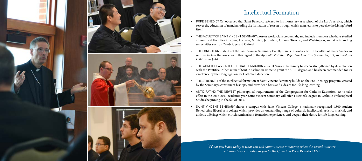### Intellectual Formation

POPE BENEDICT XVI observed that Saint Benedict referred to his monastery as a school of the Lord's service, which serves the education of man, including the formation of reason through which man learns to perceive the Living Word

THE FACULTY OF SAINT VINCENT SEMINARY possess world-class credentials, and include members who have studied at Pontifical Faculties in Rome, Louvain, Munich, Jerusalem, Ottawa, Toronto, and Washington, and at outstanding

THE LONG-TERM stability of the Saint Vincent Seminary Faculty stands in contrast to the Faculties of many American seminaries (see the concerns in this regard of the *Apostolic Visitation Report on American Seminaries*, p. 7; and *Pastores* 

• THE WORLD-CLASS INTELLECTUAL FORMATION at Saint Vincent Seminary has been strengthened by its affiliation with the Pontifical Athenaeum of Sant' Anselmo in Rome to grant the S.T.B. degree, and has been commended for its

THE STRENGTH of the intellectual formation at Saint Vincent Seminary builds on the Pre-Theology program, created by the Seminary's constituent bishops, and provides a basis and a desire for life-long learning.

ANTICIPATING THE NEWEST philosophical requirements of the Congregation for Catholic Education, set to take effect in the 2016-2017 academic year, Saint Vincent Seminary will offer a Master's Degree in Catholic Philosophical





- itself.
- universities such as Cambridge and Oxford.
- *Dabo Vobis* §66).
- excellence by the Congregation for Catholic Education.
- 
- Studies beginning in the fall of 2015.
- 

SAINT VINCENT SEMINARY shares a campus with Saint Vincent College, a nationally recognized 1,800 student Benedictine liberal arts college which provides an outstanding range of cultural, intellectual, artistic, musical, and athletic offerings which enrich seminarians' formation experiences and deepen their desire for life-long learning.

*What you learn today is what you will communicate tomorrow, when the sacred ministry will have been entrusted to you by the Church.* – Pope Benedict XVI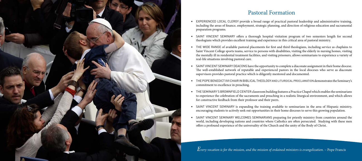### Pastoral Formation

EXPERIENCED LOCAL CLERGY provide a broad range of practical pastoral leadership and administrative training, including the areas of finance, employment, strategic planning, and direction of religious education and sacramental

SAINT VINCENT SEMINARY offers a thorough hospital visitation program of two semesters length for second theologians which provides excellent training and experience in this critical area of pastoral ministry.

THE WIDE RANGE of available pastoral placements for first and third theologians, including service as chaplains to Saint Vincent College sports teams, service to persons with disabilities, visiting the elderly in nursing homes, visiting the mentally ill in residential treatment facilities, and visiting prisoners, allows seminarians to experience a variety of

SAINT VINCENT SEMINARY DEACONS have the opportunity to complete a diaconate assignment in their home diocese. The well-established network of reputable and experienced pastors in the local dioceses who serve as diaconate supervisors provides pastoral practice which is diligently mentored and documented.

THE POPE BENEDICT XVI CHAIR IN BIBLICAL THEOLOGY AND LITURGICAL PROCLAMATION demonstrates the Seminary's

THE SEMINARY'S BROWNFIELD CENTER classroom building features a Practice Chapel which enables the seminarians to experience the celebration of the sacraments and preaching in a realistic liturgical environment, and which allows

SAINT VINCENT SEMINARY is expanding the training available to seminarians in the area of Hispanic ministry, encouraging students to actively seek out opportunities in their home dioceses to serve this growing population.



- preparation programs.
- 
- real-life situations involving pastoral care.
- 
- commitment to excellence in preaching.
- for constructive feedback from their professor and their peers.
- 
- 

*Every vocation is for the mission, and the mission of ordained ministers is evangelization.* – Pope Francis

SAINT VINCENT SEMINARY WELCOMES SEMINARIANS preparing for priestly ministry from countries around the world, including developing nations and countries where Catholics are often persecuted. Studying with these men offers a profound experience of the universality of the Church and the unity of the Body of Christ.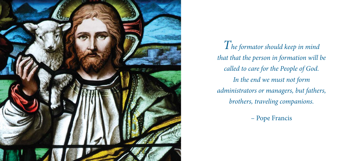

- *The formator should keep in mind that that the person in formation will be called to care for the People of God. In the end we must not form administrators or managers, but fathers, brothers, traveling companions.*
	- Pope Francis